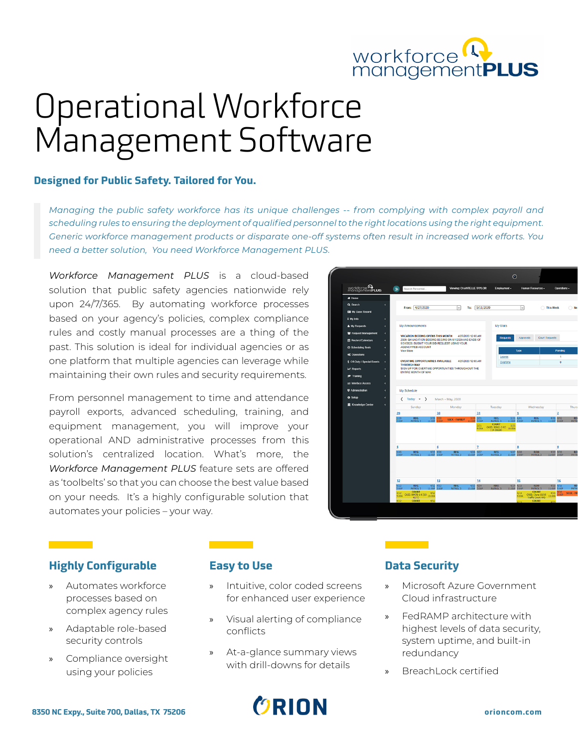

# Operational Workforce Management Software

#### **Designed for Public Safety. Tailored for You.**

*Managing the public safety workforce has its unique challenges -- from complying with complex payroll and scheduling rules to ensuring the deployment of qualified personnel to the right locations using the right equipment. Generic workforce management products or disparate one-off systems often result in increased work efforts. You need a better solution, You need Workforce Management PLUS.*

*Workforce Management PLUS* is a cloud-based solution that public safety agencies nationwide rely upon 24/7/365. By automating workforce processes based on your agency's policies, complex compliance rules and costly manual processes are a thing of the past. This solution is ideal for individual agencies or as one platform that multiple agencies can leverage while maintaining their own rules and security requirements.

From personnel management to time and attendance payroll exports, advanced scheduling, training, and equipment management, you will improve your operational AND administrative processes from this solution's centralized location. What's more, the *Workforce Management PLUS* feature sets are offered as 'toolbelts' so that you can choose the best value based on your needs. It's a highly configurable solution that automates your policies – your way.



### **Highly Configurable**

 $\mathcal{L}(\mathcal{L}^{\text{max}}_{\mathcal{L}}(\mathcal{L}^{\text{max}}_{\mathcal{L}}))$ 

- » Automates workforce processes based on complex agency rules
- » Adaptable role-based security controls
- » Compliance oversight using your policies

### **Easy to Use**

- Intuitive, color coded screens for enhanced user experience
- » Visual alerting of compliance conflicts
- » At-a-glance summary views with drill-downs for details



### **Data Security**

- » Microsoft Azure Government Cloud infrastructure
- » FedRAMP architecture with highest levels of data security, system uptime, and built-in redundancy
- » BreachLock certified